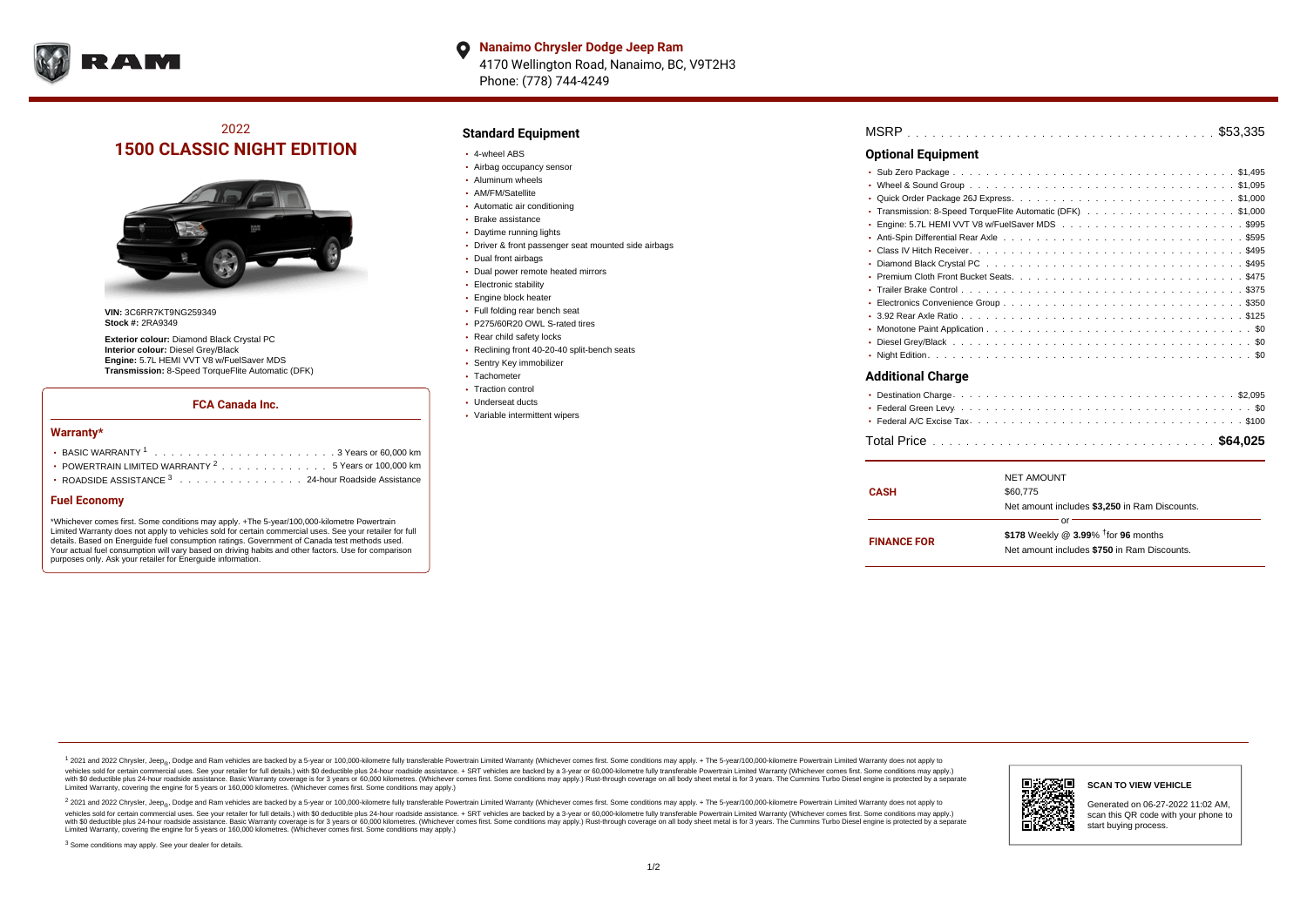

**Nanaimo Chrysler Dodge Jeep Ram** O 4170 Wellington Road, Nanaimo, BC, V9T2H3 Phone: (778) 744-4249

# 2022 **1500 CLASSIC NIGHT EDITION**



**VIN:** 3C6RR7KT9NG259349 **Stock #:** 2RA9349

**Exterior colour:** Diamond Black Crystal PC **Interior colour:** Diesel Grey/Black **Engine:** 5.7L HEMI VVT V8 w/FuelSaver MDS **Transmission:** 8-Speed TorqueFlite Automatic (DFK)

### **FCA Canada Inc.**

#### **Warranty\***

| POWERTRAIN LIMITED WARRANTY $2, \ldots, \ldots, \ldots, \ldots, 5$ Years or 100.000 km |
|----------------------------------------------------------------------------------------|
| • ROADSIDE ASSISTANCE 3 24-hour Roadside Assistance                                    |

### **Fuel Economy**

\*Whichever comes first. Some conditions may apply. +The 5-year/100,000-kilometre Powertrain Limited Warranty does not apply to vehicles sold for certain commercial uses. See your retailer for full details. Based on Energuide fuel consumption ratings. Government of Canada test methods used. Your actual fuel consumption will vary based on driving habits and other factors. Use for comparison purposes only. Ask your retailer for Energuide information.

## **Standard Equipment**

- 4-wheel ABS
- Airbag occupancy sensor
- Aluminum wheels
- AM/FM/Satellite
- Automatic air conditioning
- Brake assistance
- Daytime running lights
- Driver & front passenger seat mounted side airbags
- Dual front airbags
- Dual power remote heated mirrors
- **Electronic stability**
- Engine block heater
- Full folding rear bench seat · P275/60R20 OWL S-rated tires
- 
- Rear child safety locks
- Reclining front 40-20-40 split-bench seats
- Sentry Key immobilizer
- Tachometer • Traction control
- Underseat ducts
- Variable intermittent wipers

. . . . . . . . . . . . . . . . . . . . . . . . . . . . . . . . . . . . . . . . . . . . . . MSRP \$53,335 . . . . . . . . . . . . . . . . . . . . . . . . . . . . . . . . . . . . . . . . . . . . . . Sub Zero Package \$1,495 . . . . . . . . . . . . . . . . . . . . . . . . . . . . . . . . . . . . . . . . . . . . . . Wheel & Sound Group \$1,095 . . . . . . . . . . . . . . . . . . . . . . . . . . . . . . . . . . . . . . . . . . . . . . Quick Order Package 26J Express \$1,000 Transmission: 8-Speed TorqueFlite Automatic (DFK).........................\$1,000 Engine: 5.7L HEMI VVT V8 w/FuelSaver MDS  $\ldots \ldots \ldots \ldots \ldots \ldots \ldots \ldots \ldots \ldots$ Anti-Spin Differential Rear Axle ................................5595 . . . . . . . . . . . . . . . . . . . . . . . . . . . . . . . . . . . . . . . . . . . . . . Class IV Hitch Receiver \$495 Diamond Black Crystal PC  $\ldots \ldots \ldots \ldots \ldots \ldots \ldots \ldots \ldots \ldots \ldots \ldots \ldots$ \$495 . . . . . . . . . . . . . . . . . . . . . . . . . . . . . . . . . . . . . . . . . . . . . . Premium Cloth Front Bucket Seats \$475 . . . . . . . . . . . . . . . . . . . . . . . . . . . . . . . . . . . . . . . . . . . . . . Trailer Brake Control \$375 **Optional Equipment**

#### . . . . . . . . . . . . . . . . . . . . . . . . . . . . . . . . . . . . . . . . . . . . . . Electronics Convenience Group \$350 . . . . . . . . . . . . . . . . . . . . . . . . . . . . . . . . . . . . . . . . . . . . . . 3.92 Rear Axle Ratio \$125 . . . . . . . . . . . . . . . . . . . . . . . . . . . . . . . . . . . . . . . . . . . . . . Monotone Paint Application \$0 . . . . . . . . . . . . . . . . . . . . . . . . . . . . . . . . . . . . . . . . . . . . . . Diesel Grey/Black \$0

. . . . . . . . . . . . . . . . . . . . . . . . . . . . . . . . . . . . . . . . . . . . . . Night Edition \$0

## **Additional Charge**

| <b>CASH</b>        | <b>NET AMOUNT</b><br>\$60,775<br>Net amount includes \$3,250 in Ram Discounts.                       |
|--------------------|------------------------------------------------------------------------------------------------------|
| <b>FINANCE FOR</b> | nr<br>\$178 Weekly @ 3.99% <sup>t</sup> for 96 months<br>Net amount includes \$750 in Ram Discounts. |

<sup>1</sup> 2021 and 2022 Chrysler, Jeep<sub>®</sub>, Dodge and Ram vehicles are backed by a 5-year or 100,000-kilometre fully transferable Powertrain Limited Warranty (Whichever comes first. Some conditions may apply. + The 5-year/100,000 vehicles sold for certain commercial uses. See your retailer for full details.) with \$0 deductible plus 24-hour madside assistance. + SRT vehicles are backed by a 3-year or 60.000-kilometre fully transferable Powertrain Li ventals assume that the control of the control of the control of the control of the control of the control of the control of the control of the control of the control of the control of the control of the control of the con Limited Warranty, covering the engine for 5 years or 160,000 kilometres. (Whichever comes first. Some conditions may apply.)

2 2021 and 2022 Chrysler, Jeep<sub>®</sub>, Dodge and Ram vehicles are backed by a 5-year or 100,000-kilometre fully transferable Powertrain Limited Warranty (Whichever comes first. Some conditions may apply. + The 5-year/100,000-k vehicles sold for certain commercial uses. See your retailer for full details.) with SO deductible plus 24-hour roadside assistance. + SRT vehicles are backed by a 3-year or 60.000-kilometre fully transferable Powertrain L with S0 deductible plus 24-hour roadside assistance. Basic Warranty coverage is for 3 years or 60,000 kilometres. (Whichever comes first. Some conditions may apply.) Rust-through coverage on all body sheet metal is for 3 y



#### **SCAN TO VIEW VEHICLE**

Generated on 06-27-2022 11:02 AM, scan this QR code with your phone to start buying process.

<sup>3</sup> Some conditions may apply. See your dealer for details.